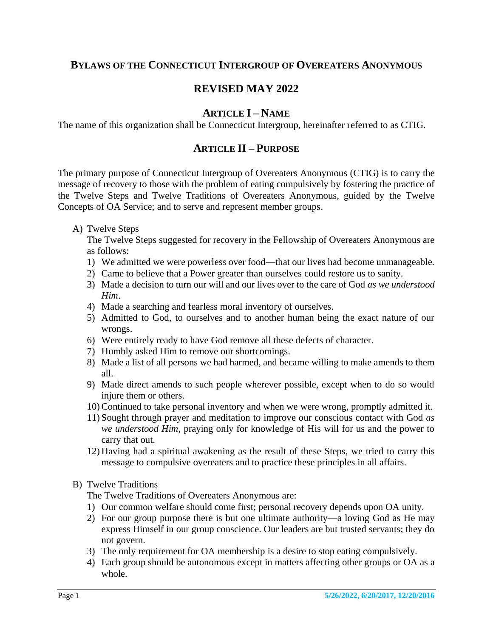# **BYLAWS OF THE CONNECTICUT INTERGROUP OF OVEREATERS ANONYMOUS**

# **REVISED MAY 2022**

#### **ARTICLE I – NAME**

The name of this organization shall be Connecticut Intergroup, hereinafter referred to as CTIG.

## **ARTICLE II – PURPOSE**

The primary purpose of Connecticut Intergroup of Overeaters Anonymous (CTIG) is to carry the message of recovery to those with the problem of eating compulsively by fostering the practice of the Twelve Steps and Twelve Traditions of Overeaters Anonymous, guided by the Twelve Concepts of OA Service; and to serve and represent member groups.

A) Twelve Steps

The Twelve Steps suggested for recovery in the Fellowship of Overeaters Anonymous are as follows:

- 1) We admitted we were powerless over food—that our lives had become unmanageable.
- 2) Came to believe that a Power greater than ourselves could restore us to sanity.
- 3) Made a decision to turn our will and our lives over to the care of God *as we understood Him*.
- 4) Made a searching and fearless moral inventory of ourselves.
- 5) Admitted to God, to ourselves and to another human being the exact nature of our wrongs.
- 6) Were entirely ready to have God remove all these defects of character.
- 7) Humbly asked Him to remove our shortcomings.
- 8) Made a list of all persons we had harmed, and became willing to make amends to them all.
- 9) Made direct amends to such people wherever possible, except when to do so would injure them or others.
- 10) Continued to take personal inventory and when we were wrong, promptly admitted it.
- 11) Sought through prayer and meditation to improve our conscious contact with God *as we understood Him*, praying only for knowledge of His will for us and the power to carry that out.
- 12) Having had a spiritual awakening as the result of these Steps, we tried to carry this message to compulsive overeaters and to practice these principles in all affairs.
- B) Twelve Traditions

The Twelve Traditions of Overeaters Anonymous are:

- 1) Our common welfare should come first; personal recovery depends upon OA unity.
- 2) For our group purpose there is but one ultimate authority—a loving God as He may express Himself in our group conscience. Our leaders are but trusted servants; they do not govern.
- 3) The only requirement for OA membership is a desire to stop eating compulsively.
- 4) Each group should be autonomous except in matters affecting other groups or OA as a whole.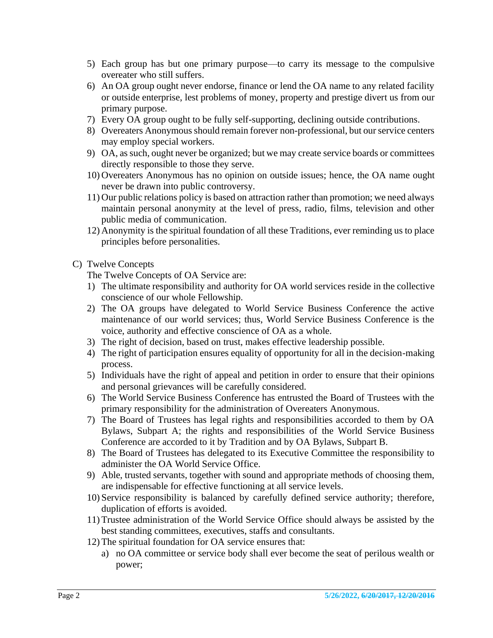- 5) Each group has but one primary purpose—to carry its message to the compulsive overeater who still suffers.
- 6) An OA group ought never endorse, finance or lend the OA name to any related facility or outside enterprise, lest problems of money, property and prestige divert us from our primary purpose.
- 7) Every OA group ought to be fully self-supporting, declining outside contributions.
- 8) Overeaters Anonymous should remain forever non-professional, but our service centers may employ special workers.
- 9) OA, as such, ought never be organized; but we may create service boards or committees directly responsible to those they serve.
- 10) Overeaters Anonymous has no opinion on outside issues; hence, the OA name ought never be drawn into public controversy.
- 11) Our public relations policy is based on attraction rather than promotion; we need always maintain personal anonymity at the level of press, radio, films, television and other public media of communication.
- 12) Anonymity is the spiritual foundation of all these Traditions, ever reminding us to place principles before personalities.
- C) Twelve Concepts

The Twelve Concepts of OA Service are:

- 1) The ultimate responsibility and authority for OA world services reside in the collective conscience of our whole Fellowship.
- 2) The OA groups have delegated to World Service Business Conference the active maintenance of our world services; thus, World Service Business Conference is the voice, authority and effective conscience of OA as a whole.
- 3) The right of decision, based on trust, makes effective leadership possible.
- 4) The right of participation ensures equality of opportunity for all in the decision-making process.
- 5) Individuals have the right of appeal and petition in order to ensure that their opinions and personal grievances will be carefully considered.
- 6) The World Service Business Conference has entrusted the Board of Trustees with the primary responsibility for the administration of Overeaters Anonymous.
- 7) The Board of Trustees has legal rights and responsibilities accorded to them by OA Bylaws, Subpart A; the rights and responsibilities of the World Service Business Conference are accorded to it by Tradition and by OA Bylaws, Subpart B.
- 8) The Board of Trustees has delegated to its Executive Committee the responsibility to administer the OA World Service Office.
- 9) Able, trusted servants, together with sound and appropriate methods of choosing them, are indispensable for effective functioning at all service levels.
- 10) Service responsibility is balanced by carefully defined service authority; therefore, duplication of efforts is avoided.
- 11) Trustee administration of the World Service Office should always be assisted by the best standing committees, executives, staffs and consultants.
- 12) The spiritual foundation for OA service ensures that:
	- a) no OA committee or service body shall ever become the seat of perilous wealth or power;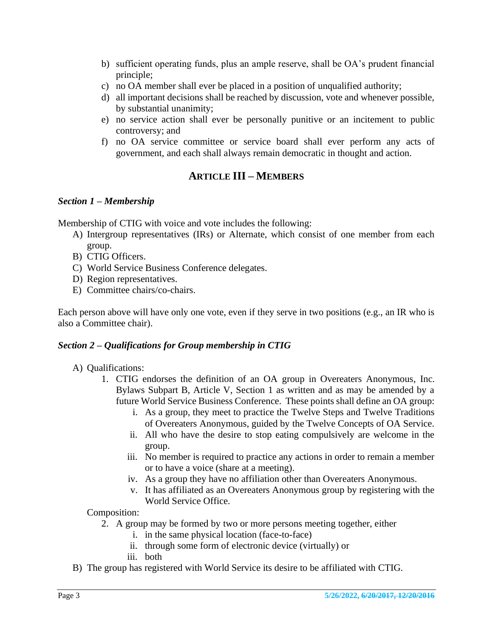- b) sufficient operating funds, plus an ample reserve, shall be OA's prudent financial principle;
- c) no OA member shall ever be placed in a position of unqualified authority;
- d) all important decisions shall be reached by discussion, vote and whenever possible, by substantial unanimity;
- e) no service action shall ever be personally punitive or an incitement to public controversy; and
- f) no OA service committee or service board shall ever perform any acts of government, and each shall always remain democratic in thought and action.

# **ARTICLE III – MEMBERS**

#### *Section 1 – Membership*

Membership of CTIG with voice and vote includes the following:

- A) Intergroup representatives (IRs) or Alternate, which consist of one member from each group.
- B) CTIG Officers.
- C) World Service Business Conference delegates.
- D) Region representatives.
- E) Committee chairs/co-chairs.

Each person above will have only one vote, even if they serve in two positions (e.g., an IR who is also a Committee chair).

#### *Section 2 – Qualifications for Group membership in CTIG*

- A) Qualifications:
	- 1. CTIG endorses the definition of an OA group in Overeaters Anonymous, Inc. Bylaws Subpart B, Article V, Section 1 as written and as may be amended by a future World Service Business Conference. These points shall define an OA group:
		- i. As a group, they meet to practice the Twelve Steps and Twelve Traditions of Overeaters Anonymous, guided by the Twelve Concepts of OA Service.
		- ii. All who have the desire to stop eating compulsively are welcome in the group.
		- iii. No member is required to practice any actions in order to remain a member or to have a voice (share at a meeting).
		- iv. As a group they have no affiliation other than Overeaters Anonymous.
		- v. It has affiliated as an Overeaters Anonymous group by registering with the World Service Office.

Composition:

- 2. A group may be formed by two or more persons meeting together, either
	- i. in the same physical location (face-to-face)
	- ii. through some form of electronic device (virtually) or
	- iii. both
- B) The group has registered with World Service its desire to be affiliated with CTIG.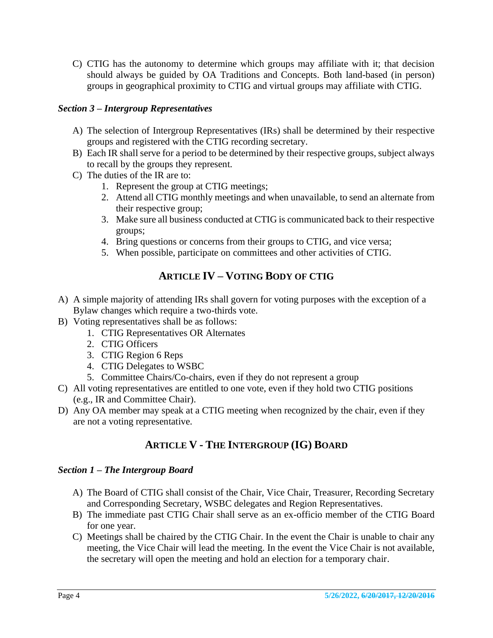C) CTIG has the autonomy to determine which groups may affiliate with it; that decision should always be guided by OA Traditions and Concepts. Both land-based (in person) groups in geographical proximity to CTIG and virtual groups may affiliate with CTIG.

### *Section 3 – Intergroup Representatives*

- A) The selection of Intergroup Representatives (IRs) shall be determined by their respective groups and registered with the CTIG recording secretary.
- B) Each IR shall serve for a period to be determined by their respective groups, subject always to recall by the groups they represent.
- C) The duties of the IR are to:
	- 1. Represent the group at CTIG meetings;
	- 2. Attend all CTIG monthly meetings and when unavailable, to send an alternate from their respective group;
	- 3. Make sure all business conducted at CTIG is communicated back to their respective groups;
	- 4. Bring questions or concerns from their groups to CTIG, and vice versa;
	- 5. When possible, participate on committees and other activities of CTIG.

# **ARTICLE IV – VOTING BODY OF CTIG**

- A) A simple majority of attending IRs shall govern for voting purposes with the exception of a Bylaw changes which require a two-thirds vote.
- B) Voting representatives shall be as follows:
	- 1. CTIG Representatives OR Alternates
	- 2. CTIG Officers
	- 3. CTIG Region 6 Reps
	- 4. CTIG Delegates to WSBC
	- 5. Committee Chairs/Co-chairs, even if they do not represent a group
- C) All voting representatives are entitled to one vote, even if they hold two CTIG positions (e.g., IR and Committee Chair).
- D) Any OA member may speak at a CTIG meeting when recognized by the chair, even if they are not a voting representative.

# **ARTICLE V - THE INTERGROUP (IG) BOARD**

#### *Section 1 – The Intergroup Board*

- A) The Board of CTIG shall consist of the Chair, Vice Chair, Treasurer, Recording Secretary and Corresponding Secretary, WSBC delegates and Region Representatives.
- B) The immediate past CTIG Chair shall serve as an ex-officio member of the CTIG Board for one year.
- C) Meetings shall be chaired by the CTIG Chair. In the event the Chair is unable to chair any meeting, the Vice Chair will lead the meeting. In the event the Vice Chair is not available, the secretary will open the meeting and hold an election for a temporary chair.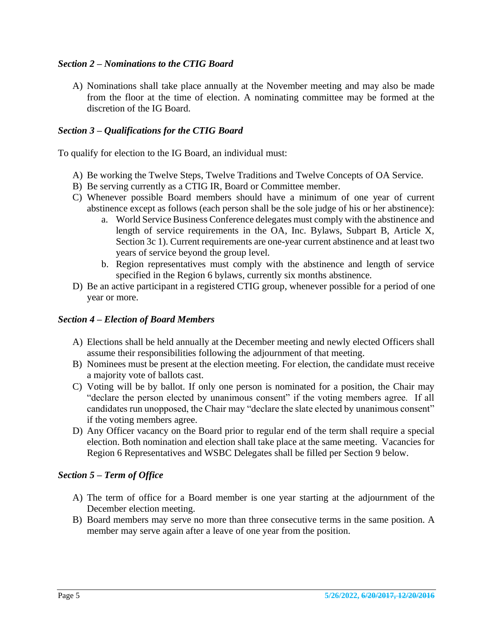#### *Section 2 – Nominations to the CTIG Board*

A) Nominations shall take place annually at the November meeting and may also be made from the floor at the time of election. A nominating committee may be formed at the discretion of the IG Board.

### *Section 3 – Qualifications for the CTIG Board*

To qualify for election to the IG Board, an individual must:

- A) Be working the Twelve Steps, Twelve Traditions and Twelve Concepts of OA Service.
- B) Be serving currently as a CTIG IR, Board or Committee member.
- C) Whenever possible Board members should have a minimum of one year of current abstinence except as follows (each person shall be the sole judge of his or her abstinence):
	- a. World Service Business Conference delegates must comply with the abstinence and length of service requirements in the OA, Inc. Bylaws, Subpart B, Article X, Section 3c 1). Current requirements are one-year current abstinence and at least two years of service beyond the group level.
	- b. Region representatives must comply with the abstinence and length of service specified in the Region 6 bylaws, currently six months abstinence.
- D) Be an active participant in a registered CTIG group, whenever possible for a period of one year or more.

#### *Section 4 – Election of Board Members*

- A) Elections shall be held annually at the December meeting and newly elected Officers shall assume their responsibilities following the adjournment of that meeting.
- B) Nominees must be present at the election meeting. For election, the candidate must receive a majority vote of ballots cast.
- C) Voting will be by ballot. If only one person is nominated for a position, the Chair may "declare the person elected by unanimous consent" if the voting members agree. If all candidates run unopposed, the Chair may "declare the slate elected by unanimous consent" if the voting members agree.
- D) Any Officer vacancy on the Board prior to regular end of the term shall require a special election. Both nomination and election shall take place at the same meeting. Vacancies for Region 6 Representatives and WSBC Delegates shall be filled per Section 9 below.

#### *Section 5 – Term of Office*

- A) The term of office for a Board member is one year starting at the adjournment of the December election meeting.
- B) Board members may serve no more than three consecutive terms in the same position. A member may serve again after a leave of one year from the position.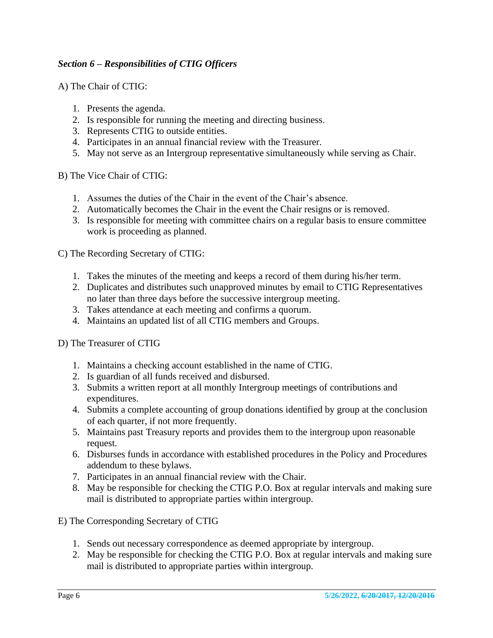## *Section 6 – Responsibilities of CTIG Officers*

A) The Chair of CTIG:

- 1. Presents the agenda.
- 2. Is responsible for running the meeting and directing business.
- 3. Represents CTIG to outside entities.
- 4. Participates in an annual financial review with the Treasurer.
- 5. May not serve as an Intergroup representative simultaneously while serving as Chair.

B) The Vice Chair of CTIG:

- 1. Assumes the duties of the Chair in the event of the Chair's absence.
- 2. Automatically becomes the Chair in the event the Chair resigns or is removed.
- 3. Is responsible for meeting with committee chairs on a regular basis to ensure committee work is proceeding as planned.

C) The Recording Secretary of CTIG:

- 1. Takes the minutes of the meeting and keeps a record of them during his/her term.
- 2. Duplicates and distributes such unapproved minutes by email to CTIG Representatives no later than three days before the successive intergroup meeting.
- 3. Takes attendance at each meeting and confirms a quorum.
- 4. Maintains an updated list of all CTIG members and Groups.

D) The Treasurer of CTIG

- 1. Maintains a checking account established in the name of CTIG.
- 2. Is guardian of all funds received and disbursed.
- 3. Submits a written report at all monthly Intergroup meetings of contributions and expenditures.
- 4. Submits a complete accounting of group donations identified by group at the conclusion of each quarter, if not more frequently.
- 5. Maintains past Treasury reports and provides them to the intergroup upon reasonable request.
- 6. Disburses funds in accordance with established procedures in the Policy and Procedures addendum to these bylaws.
- 7. Participates in an annual financial review with the Chair.
- 8. May be responsible for checking the CTIG P.O. Box at regular intervals and making sure mail is distributed to appropriate parties within intergroup.

E) The Corresponding Secretary of CTIG

- 1. Sends out necessary correspondence as deemed appropriate by intergroup.
- 2. May be responsible for checking the CTIG P.O. Box at regular intervals and making sure mail is distributed to appropriate parties within intergroup.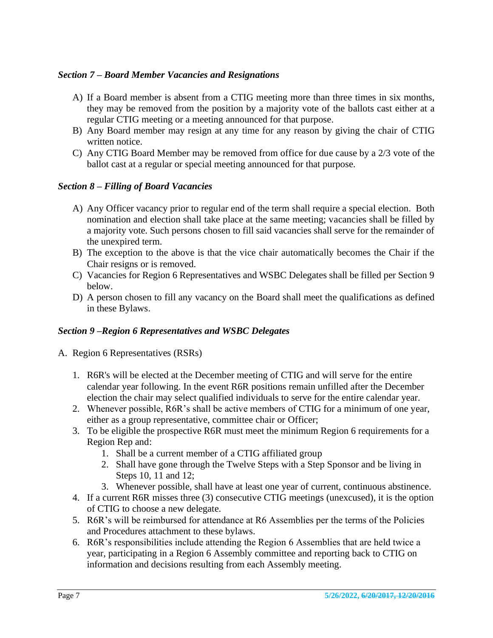#### *Section 7 – Board Member Vacancies and Resignations*

- A) If a Board member is absent from a CTIG meeting more than three times in six months, they may be removed from the position by a majority vote of the ballots cast either at a regular CTIG meeting or a meeting announced for that purpose.
- B) Any Board member may resign at any time for any reason by giving the chair of CTIG written notice.
- C) Any CTIG Board Member may be removed from office for due cause by a 2/3 vote of the ballot cast at a regular or special meeting announced for that purpose.

## *Section 8 – Filling of Board Vacancies*

- A) Any Officer vacancy prior to regular end of the term shall require a special election. Both nomination and election shall take place at the same meeting; vacancies shall be filled by a majority vote. Such persons chosen to fill said vacancies shall serve for the remainder of the unexpired term.
- B) The exception to the above is that the vice chair automatically becomes the Chair if the Chair resigns or is removed.
- C) Vacancies for Region 6 Representatives and WSBC Delegates shall be filled per Section 9 below.
- D) A person chosen to fill any vacancy on the Board shall meet the qualifications as defined in these Bylaws.

#### *Section 9 –Region 6 Representatives and WSBC Delegates*

- A. Region 6 Representatives (RSRs)
	- 1. R6R's will be elected at the December meeting of CTIG and will serve for the entire calendar year following. In the event R6R positions remain unfilled after the December election the chair may select qualified individuals to serve for the entire calendar year.
	- 2. Whenever possible, R6R's shall be active members of CTIG for a minimum of one year, either as a group representative, committee chair or Officer;
	- 3. To be eligible the prospective R6R must meet the minimum Region 6 requirements for a Region Rep and:
		- 1. Shall be a current member of a CTIG affiliated group
		- 2. Shall have gone through the Twelve Steps with a Step Sponsor and be living in Steps 10, 11 and 12;
		- 3. Whenever possible, shall have at least one year of current, continuous abstinence.
	- 4. If a current R6R misses three (3) consecutive CTIG meetings (unexcused), it is the option of CTIG to choose a new delegate.
	- 5. R6R's will be reimbursed for attendance at R6 Assemblies per the terms of the Policies and Procedures attachment to these bylaws.
	- 6. R6R's responsibilities include attending the Region 6 Assemblies that are held twice a year, participating in a Region 6 Assembly committee and reporting back to CTIG on information and decisions resulting from each Assembly meeting.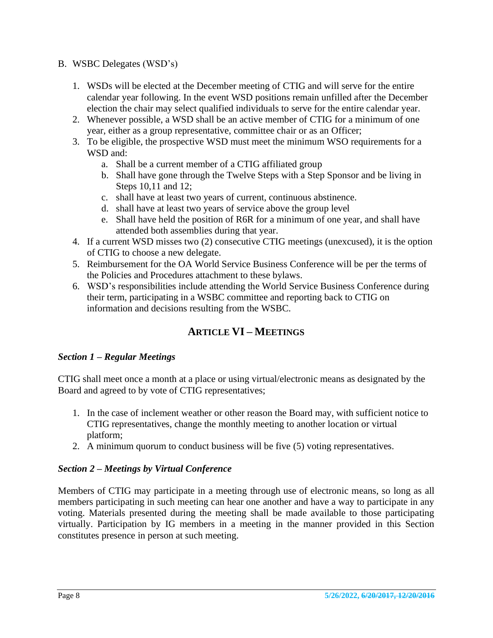#### B. WSBC Delegates (WSD's)

- 1. WSDs will be elected at the December meeting of CTIG and will serve for the entire calendar year following. In the event WSD positions remain unfilled after the December election the chair may select qualified individuals to serve for the entire calendar year.
- 2. Whenever possible, a WSD shall be an active member of CTIG for a minimum of one year, either as a group representative, committee chair or as an Officer;
- 3. To be eligible, the prospective WSD must meet the minimum WSO requirements for a WSD and:
	- a. Shall be a current member of a CTIG affiliated group
	- b. Shall have gone through the Twelve Steps with a Step Sponsor and be living in Steps 10,11 and 12;
	- c. shall have at least two years of current, continuous abstinence.
	- d. shall have at least two years of service above the group level
	- e. Shall have held the position of R6R for a minimum of one year, and shall have attended both assemblies during that year.
- 4. If a current WSD misses two (2) consecutive CTIG meetings (unexcused), it is the option of CTIG to choose a new delegate.
- 5. Reimbursement for the OA World Service Business Conference will be per the terms of the Policies and Procedures attachment to these bylaws.
- 6. WSD's responsibilities include attending the World Service Business Conference during their term, participating in a WSBC committee and reporting back to CTIG on information and decisions resulting from the WSBC.

# **ARTICLE VI – MEETINGS**

## *Section 1 – Regular Meetings*

CTIG shall meet once a month at a place or using virtual/electronic means as designated by the Board and agreed to by vote of CTIG representatives;

- 1. In the case of inclement weather or other reason the Board may, with sufficient notice to CTIG representatives, change the monthly meeting to another location or virtual platform;
- 2. A minimum quorum to conduct business will be five (5) voting representatives.

#### *Section 2 – Meetings by Virtual Conference*

Members of CTIG may participate in a meeting through use of electronic means, so long as all members participating in such meeting can hear one another and have a way to participate in any voting. Materials presented during the meeting shall be made available to those participating virtually. Participation by IG members in a meeting in the manner provided in this Section constitutes presence in person at such meeting.